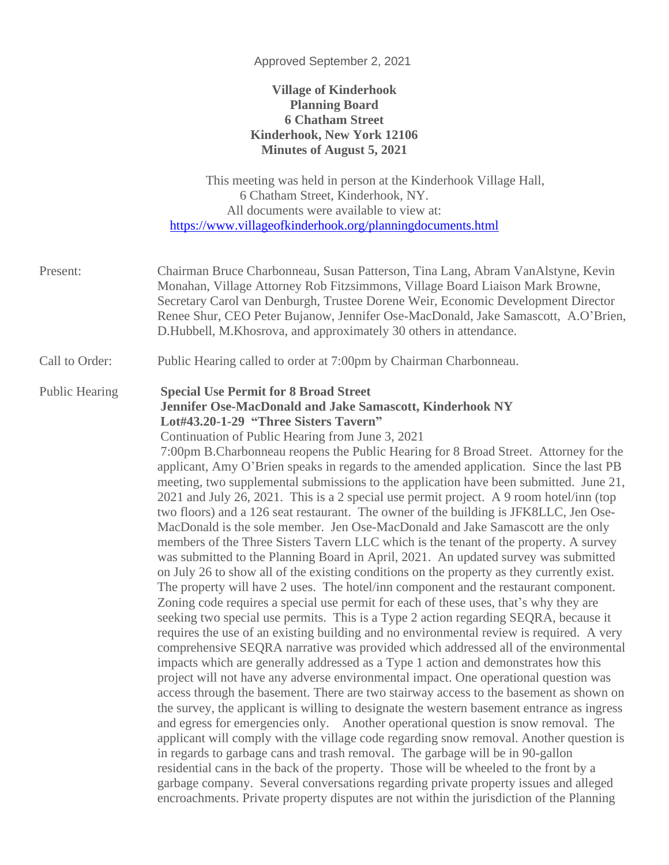#### Approved September 2, 2021

### **Village of Kinderhook Planning Board 6 Chatham Street Kinderhook, New York 12106 Minutes of August 5, 2021**

This meeting was held in person at the Kinderhook Village Hall, 6 Chatham Street, Kinderhook, NY. All documents were available to view at: <https://www.villageofkinderhook.org/planningdocuments.html>

- Present: Chairman Bruce Charbonneau, Susan Patterson, Tina Lang, Abram VanAlstyne, Kevin Monahan, Village Attorney Rob Fitzsimmons, Village Board Liaison Mark Browne, Secretary Carol van Denburgh, Trustee Dorene Weir, Economic Development Director Renee Shur, CEO Peter Bujanow, Jennifer Ose-MacDonald, Jake Samascott, A.O'Brien, D.Hubbell, M.Khosrova, and approximately 30 others in attendance.
- Call to Order: Public Hearing called to order at 7:00pm by Chairman Charbonneau.

### Public Hearing **Special Use Permit for 8 Broad Street Jennifer Ose-MacDonald and Jake Samascott, Kinderhook NY Lot#43.20-1-29 "Three Sisters Tavern"**

Continuation of Public Hearing from June 3, 2021

7:00pm B.Charbonneau reopens the Public Hearing for 8 Broad Street. Attorney for the applicant, Amy O'Brien speaks in regards to the amended application. Since the last PB meeting, two supplemental submissions to the application have been submitted. June 21, 2021 and July 26, 2021. This is a 2 special use permit project. A 9 room hotel/inn (top two floors) and a 126 seat restaurant. The owner of the building is JFK8LLC, Jen Ose-MacDonald is the sole member. Jen Ose-MacDonald and Jake Samascott are the only members of the Three Sisters Tavern LLC which is the tenant of the property. A survey was submitted to the Planning Board in April, 2021. An updated survey was submitted on July 26 to show all of the existing conditions on the property as they currently exist. The property will have 2 uses. The hotel/inn component and the restaurant component. Zoning code requires a special use permit for each of these uses, that's why they are seeking two special use permits. This is a Type 2 action regarding SEQRA, because it requires the use of an existing building and no environmental review is required. A very comprehensive SEQRA narrative was provided which addressed all of the environmental impacts which are generally addressed as a Type 1 action and demonstrates how this project will not have any adverse environmental impact. One operational question was access through the basement. There are two stairway access to the basement as shown on the survey, the applicant is willing to designate the western basement entrance as ingress and egress for emergencies only. Another operational question is snow removal. The applicant will comply with the village code regarding snow removal. Another question is in regards to garbage cans and trash removal. The garbage will be in 90-gallon residential cans in the back of the property. Those will be wheeled to the front by a garbage company. Several conversations regarding private property issues and alleged encroachments. Private property disputes are not within the jurisdiction of the Planning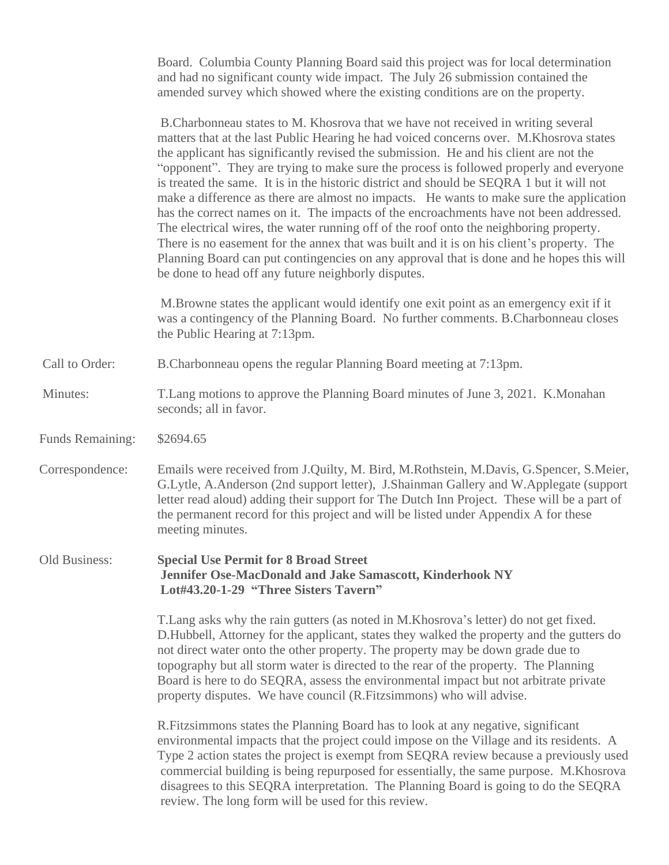Board. Columbia County Planning Board said this project was for local determination and had no significant county wide impact. The July 26 submission contained the amended survey which showed where the existing conditions are on the property.

B.Charbonneau states to M. Khosrova that we have not received in writing several matters that at the last Public Hearing he had voiced concerns over. M.Khosrova states the applicant has significantly revised the submission. He and his client are not the "opponent". They are trying to make sure the process is followed properly and everyone is treated the same. It is in the historic district and should be SEQRA 1 but it will not make a difference as there are almost no impacts. He wants to make sure the application has the correct names on it. The impacts of the encroachments have not been addressed. The electrical wires, the water running off of the roof onto the neighboring property. There is no easement for the annex that was built and it is on his client's property. The Planning Board can put contingencies on any approval that is done and he hopes this will be done to head off any future neighborly disputes.

M.Browne states the applicant would identify one exit point as an emergency exit if it was a contingency of the Planning Board. No further comments. B.Charbonneau closes the Public Hearing at 7:13pm.

- Call to Order: B.Charbonneau opens the regular Planning Board meeting at 7:13pm.
- Minutes: T.Lang motions to approve the Planning Board minutes of June 3, 2021. K.Monahan seconds; all in favor.
- Funds Remaining: \$2694.65

Correspondence: Emails were received from J.Quilty, M. Bird, M.Rothstein, M.Davis, G.Spencer, S.Meier, G.Lytle, A.Anderson (2nd support letter), J.Shainman Gallery and W.Applegate (support letter read aloud) adding their support for The Dutch Inn Project. These will be a part of the permanent record for this project and will be listed under Appendix A for these meeting minutes.

Old Business: **Special Use Permit for 8 Broad Street Jennifer Ose-MacDonald and Jake Samascott, Kinderhook NY Lot#43.20-1-29 "Three Sisters Tavern"**

> T.Lang asks why the rain gutters (as noted in M.Khosrova's letter) do not get fixed. D.Hubbell, Attorney for the applicant, states they walked the property and the gutters do not direct water onto the other property. The property may be down grade due to topography but all storm water is directed to the rear of the property. The Planning Board is here to do SEQRA, assess the environmental impact but not arbitrate private property disputes. We have council (R.Fitzsimmons) who will advise.

R.Fitzsimmons states the Planning Board has to look at any negative, significant environmental impacts that the project could impose on the Village and its residents. A Type 2 action states the project is exempt from SEQRA review because a previously used commercial building is being repurposed for essentially, the same purpose. M.Khosrova disagrees to this SEQRA interpretation. The Planning Board is going to do the SEQRA review. The long form will be used for this review.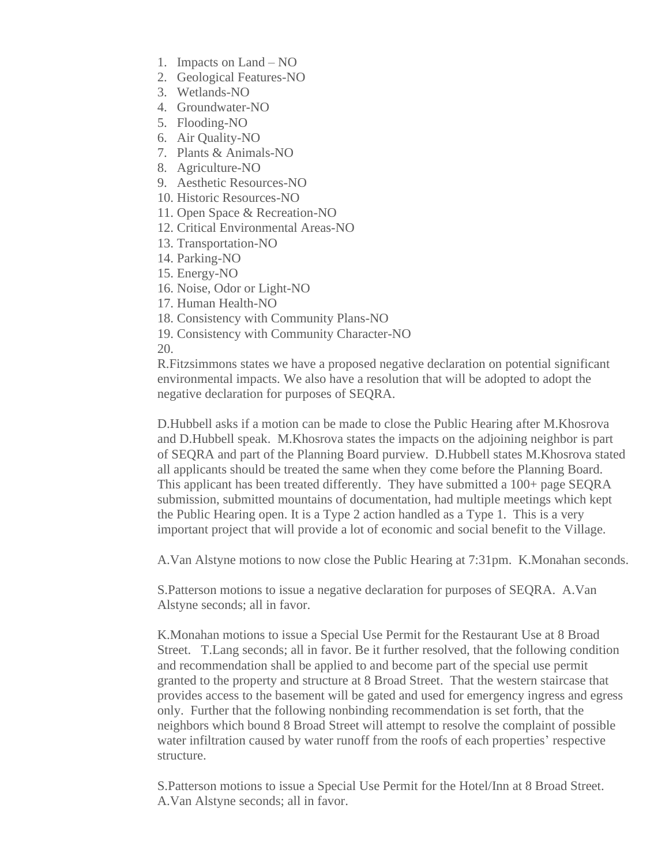- 1. Impacts on Land NO
- 2. Geological Features-NO
- 3. Wetlands-NO
- 4. Groundwater-NO
- 5. Flooding-NO
- 6. Air Quality-NO
- 7. Plants & Animals-NO
- 8. Agriculture-NO
- 9. Aesthetic Resources-NO
- 10. Historic Resources-NO
- 11. Open Space & Recreation-NO
- 12. Critical Environmental Areas-NO
- 13. Transportation-NO
- 14. Parking-NO
- 15. Energy-NO
- 16. Noise, Odor or Light-NO
- 17. Human Health-NO
- 18. Consistency with Community Plans-NO
- 19. Consistency with Community Character-NO

20.

R.Fitzsimmons states we have a proposed negative declaration on potential significant environmental impacts. We also have a resolution that will be adopted to adopt the negative declaration for purposes of SEQRA.

D.Hubbell asks if a motion can be made to close the Public Hearing after M.Khosrova and D.Hubbell speak. M.Khosrova states the impacts on the adjoining neighbor is part of SEQRA and part of the Planning Board purview. D.Hubbell states M.Khosrova stated all applicants should be treated the same when they come before the Planning Board. This applicant has been treated differently. They have submitted a 100+ page SEQRA submission, submitted mountains of documentation, had multiple meetings which kept the Public Hearing open. It is a Type 2 action handled as a Type 1. This is a very important project that will provide a lot of economic and social benefit to the Village.

A.Van Alstyne motions to now close the Public Hearing at 7:31pm. K.Monahan seconds.

S.Patterson motions to issue a negative declaration for purposes of SEQRA. A.Van Alstyne seconds; all in favor.

K.Monahan motions to issue a Special Use Permit for the Restaurant Use at 8 Broad Street. T.Lang seconds; all in favor. Be it further resolved, that the following condition and recommendation shall be applied to and become part of the special use permit granted to the property and structure at 8 Broad Street. That the western staircase that provides access to the basement will be gated and used for emergency ingress and egress only. Further that the following nonbinding recommendation is set forth, that the neighbors which bound 8 Broad Street will attempt to resolve the complaint of possible water infiltration caused by water runoff from the roofs of each properties' respective structure.

S.Patterson motions to issue a Special Use Permit for the Hotel/Inn at 8 Broad Street. A.Van Alstyne seconds; all in favor.